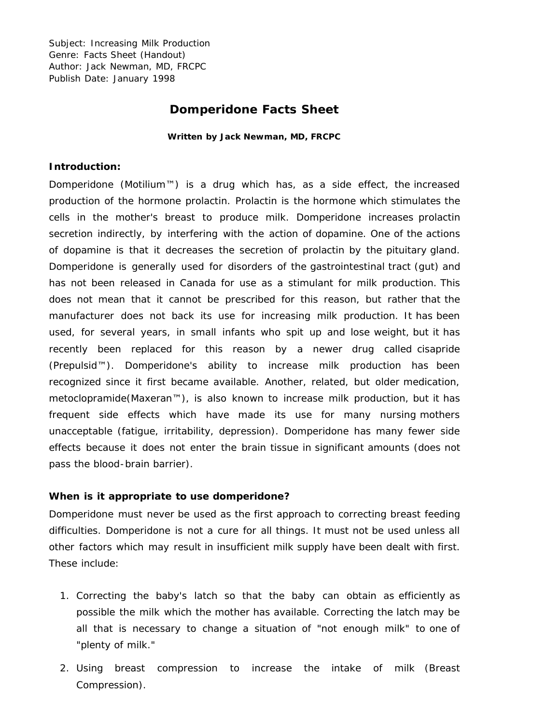Subject: Increasing Milk Production Genre: Facts Sheet (Handout) Author: Jack Newman, MD, FRCPC Publish Date: January 1998

# **Domperidone Facts Sheet**

**Written by Jack Newman, MD, FRCPC**

#### **Introduction:**

Domperidone (Motilium™) is a drug which has, as a side effect, the increased production of the hormone prolactin. Prolactin is the hormone which stimulates the cells in the mother's breast to produce milk. Domperidone increases prolactin secretion indirectly, by interfering with the action of dopamine. One of the actions of dopamine is that it decreases the secretion of prolactin by the pituitary gland. Domperidone is generally used for disorders of the gastrointestinal tract (gut) and has not been released in Canada for use as a stimulant for milk production. This does not mean that it cannot be prescribed for this reason, but rather that the manufacturer does not back its use for increasing milk production. It has been used, for several years, in small infants who spit up and lose weight, but it has recently been replaced for this reason by a newer drug called cisapride (Prepulsid™). Domperidone's ability to increase milk production has been recognized since it first became available. Another, related, but older medication, metoclopramide(Maxeran™), is also known to increase milk production, but it has frequent side effects which have made its use for many nursing mothers unacceptable (fatigue, irritability, depression). Domperidone has many fewer side effects because it does not enter the brain tissue in significant amounts (does not pass the blood-brain barrier).

#### **When is it appropriate to use domperidone?**

Domperidone must never be used as the first approach to correcting breast feeding difficulties. Domperidone is not a cure for all things. It must not be used unless all other factors which may result in insufficient milk supply have been dealt with first. These include:

- 1. Correcting the baby's latch so that the baby can obtain as efficiently as possible the milk which the mother has available. Correcting the latch may be all that is necessary to change a situation of "not enough milk" to one of "plenty of milk."
- 2. Using breast compression to increase the intake of milk (Breast Compression).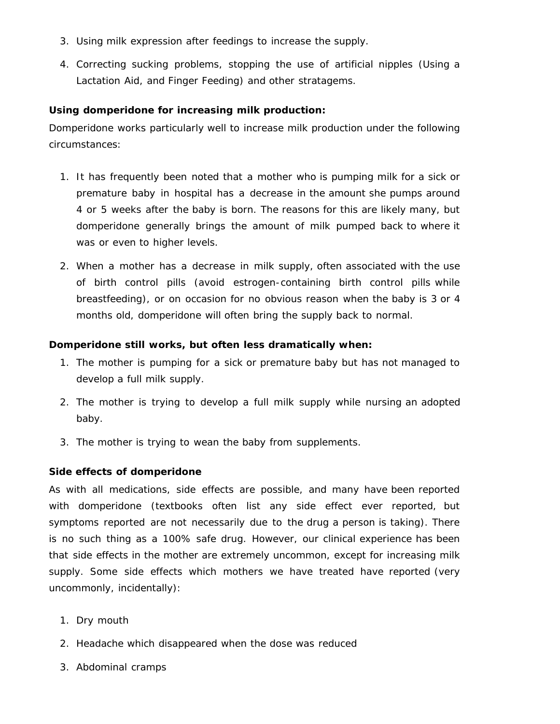- 3. Using milk expression after feedings to increase the supply.
- 4. Correcting sucking problems, stopping the use of artificial nipples (Using a Lactation Aid, and Finger Feeding) and other stratagems.

## **Using domperidone for increasing milk production:**

Domperidone works particularly well to increase milk production under the following circumstances:

- 1. It has frequently been noted that a mother who is pumping milk for a sick or premature baby in hospital has a decrease in the amount she pumps around 4 or 5 weeks after the baby is born. The reasons for this are likely many, but domperidone generally brings the amount of milk pumped back to where it was or even to higher levels.
- 2. When a mother has a decrease in milk supply, often associated with the use of birth control pills (avoid estrogen-containing birth control pills while breastfeeding), or on occasion for no obvious reason when the baby is 3 or 4 months old, domperidone will often bring the supply back to normal.

# **Domperidone still works, but often less dramatically when:**

- 1. The mother is pumping for a sick or premature baby but has not managed to develop a full milk supply.
- 2. The mother is trying to develop a full milk supply while nursing an adopted baby.
- 3. The mother is trying to wean the baby from supplements.

### **Side effects of domperidone**

As with all medications, side effects are possible, and many have been reported with domperidone (textbooks often list any side effect ever reported, but symptoms reported are not necessarily due to the drug a person is taking). There is no such thing as a 100% safe drug. However, our clinical experience has been that side effects in the mother are extremely uncommon, except for increasing milk supply. Some side effects which mothers we have treated have reported (very uncommonly, incidentally):

- 1. Dry mouth
- 2. Headache which disappeared when the dose was reduced
- 3. Abdominal cramps